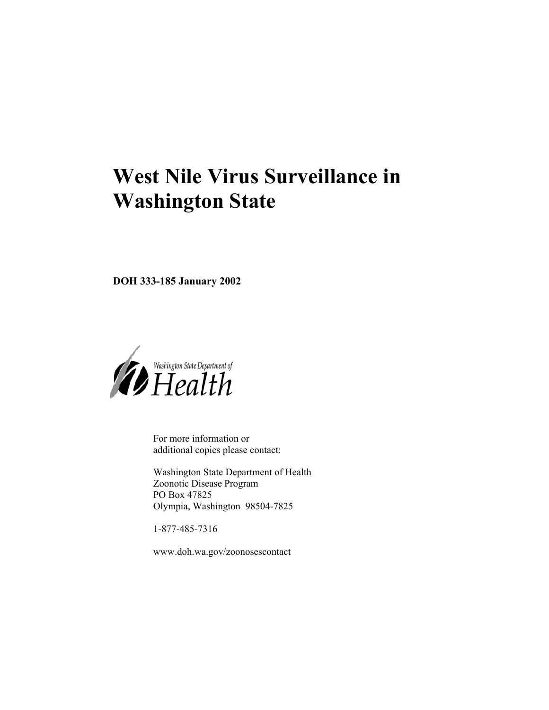# **West Nile Virus Surveillance in Washington State**

**DOH 333-185 January 2002** 



For more information or additional copies please contact:

Washington State Department of Health Zoonotic Disease Program PO Box 47825 Olympia, Washington 98504-7825

1-877-485-7316

www.doh.wa.gov/zoonosescontact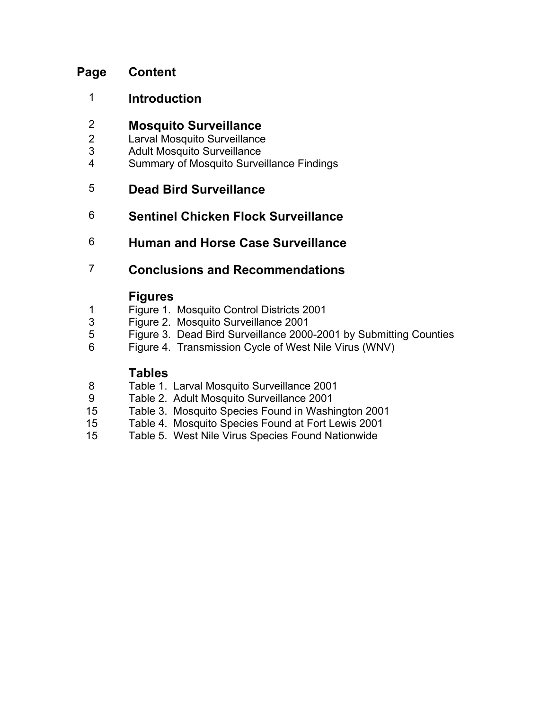### **Page Content**

1 **Introduction** 

### 2 **Mosquito Surveillance**

- 2 Larval Mosquito Surveillance
- 3 Adult Mosquito Surveillance
- 4 Summary of Mosquito Surveillance Findings

### 5 **Dead Bird Surveillance**

### 6 **Sentinel Chicken Flock Surveillance**

6 **Human and Horse Case Surveillance** 

### 7 **Conclusions and Recommendations**

### **Figures**

- 1 Figure 1. Mosquito Control Districts 2001
- 3 Figure 2. Mosquito Surveillance 2001
- 5 Figure 3. Dead Bird Surveillance 2000-2001 by Submitting Counties
- 6 Figure 4. Transmission Cycle of West Nile Virus (WNV)

### **Tables**

- 8 Table 1. Larval Mosquito Surveillance 2001
- 9 Table 2. Adult Mosquito Surveillance 2001
- 15 Table 3. Mosquito Species Found in Washington 2001
- 15 Table 4. Mosquito Species Found at Fort Lewis 2001
- 15 Table 5. West Nile Virus Species Found Nationwide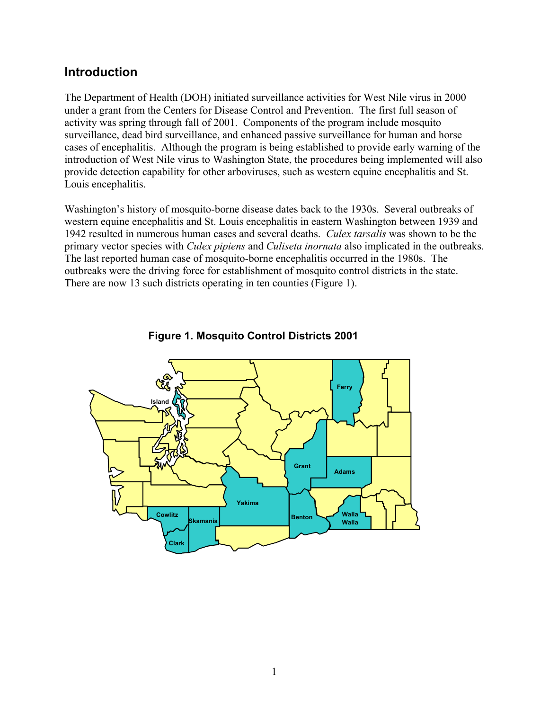### **Introduction**

The Department of Health (DOH) initiated surveillance activities for West Nile virus in 2000 under a grant from the Centers for Disease Control and Prevention. The first full season of activity was spring through fall of 2001. Components of the program include mosquito surveillance, dead bird surveillance, and enhanced passive surveillance for human and horse cases of encephalitis. Although the program is being established to provide early warning of the introduction of West Nile virus to Washington State, the procedures being implemented will also provide detection capability for other arboviruses, such as western equine encephalitis and St. Louis encephalitis.

Washington's history of mosquito-borne disease dates back to the 1930s. Several outbreaks of western equine encephalitis and St. Louis encephalitis in eastern Washington between 1939 and 1942 resulted in numerous human cases and several deaths. *Culex tarsalis* was shown to be the primary vector species with *Culex pipiens* and *Culiseta inornata* also implicated in the outbreaks. The last reported human case of mosquito-borne encephalitis occurred in the 1980s. The outbreaks were the driving force for establishment of mosquito control districts in the state. There are now 13 such districts operating in ten counties (Figure 1).



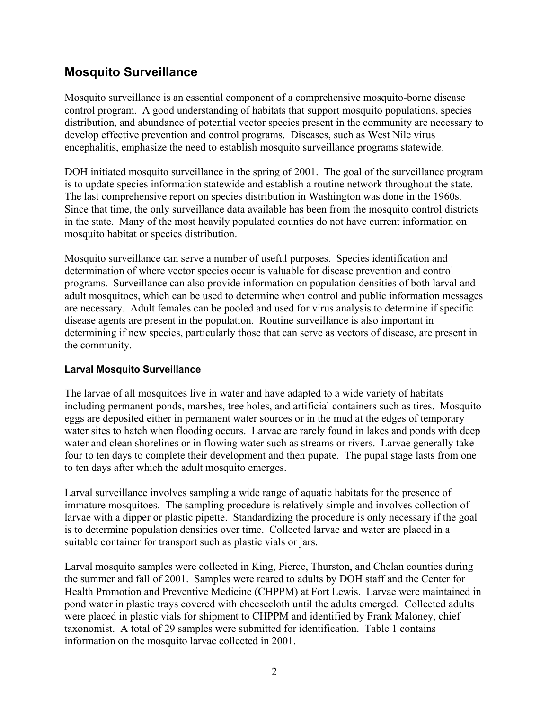### **Mosquito Surveillance**

Mosquito surveillance is an essential component of a comprehensive mosquito-borne disease control program. A good understanding of habitats that support mosquito populations, species distribution, and abundance of potential vector species present in the community are necessary to develop effective prevention and control programs. Diseases, such as West Nile virus encephalitis, emphasize the need to establish mosquito surveillance programs statewide.

DOH initiated mosquito surveillance in the spring of 2001. The goal of the surveillance program is to update species information statewide and establish a routine network throughout the state. The last comprehensive report on species distribution in Washington was done in the 1960s. Since that time, the only surveillance data available has been from the mosquito control districts in the state. Many of the most heavily populated counties do not have current information on mosquito habitat or species distribution.

Mosquito surveillance can serve a number of useful purposes. Species identification and determination of where vector species occur is valuable for disease prevention and control programs. Surveillance can also provide information on population densities of both larval and adult mosquitoes, which can be used to determine when control and public information messages are necessary. Adult females can be pooled and used for virus analysis to determine if specific disease agents are present in the population. Routine surveillance is also important in determining if new species, particularly those that can serve as vectors of disease, are present in the community.

#### **Larval Mosquito Surveillance**

The larvae of all mosquitoes live in water and have adapted to a wide variety of habitats including permanent ponds, marshes, tree holes, and artificial containers such as tires. Mosquito eggs are deposited either in permanent water sources or in the mud at the edges of temporary water sites to hatch when flooding occurs. Larvae are rarely found in lakes and ponds with deep water and clean shorelines or in flowing water such as streams or rivers. Larvae generally take four to ten days to complete their development and then pupate. The pupal stage lasts from one to ten days after which the adult mosquito emerges.

Larval surveillance involves sampling a wide range of aquatic habitats for the presence of immature mosquitoes. The sampling procedure is relatively simple and involves collection of larvae with a dipper or plastic pipette. Standardizing the procedure is only necessary if the goal is to determine population densities over time. Collected larvae and water are placed in a suitable container for transport such as plastic vials or jars.

Larval mosquito samples were collected in King, Pierce, Thurston, and Chelan counties during the summer and fall of 2001. Samples were reared to adults by DOH staff and the Center for Health Promotion and Preventive Medicine (CHPPM) at Fort Lewis. Larvae were maintained in pond water in plastic trays covered with cheesecloth until the adults emerged. Collected adults were placed in plastic vials for shipment to CHPPM and identified by Frank Maloney, chief taxonomist. A total of 29 samples were submitted for identification. Table 1 contains information on the mosquito larvae collected in 2001.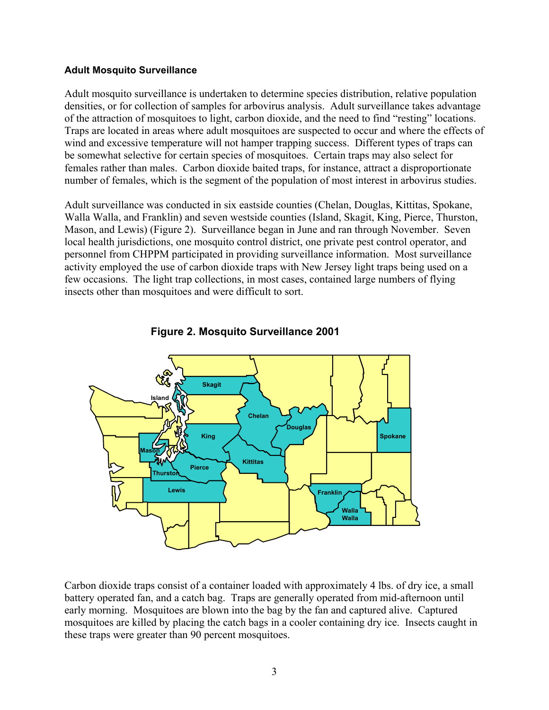#### **Adult Mosquito Surveillance**

Adult mosquito surveillance is undertaken to determine species distribution, relative population densities, or for collection of samples for arbovirus analysis. Adult surveillance takes advantage of the attraction of mosquitoes to light, carbon dioxide, and the need to find "resting" locations. Traps are located in areas where adult mosquitoes are suspected to occur and where the effects of wind and excessive temperature will not hamper trapping success. Different types of traps can be somewhat selective for certain species of mosquitoes. Certain traps may also select for females rather than males. Carbon dioxide baited traps, for instance, attract a disproportionate number of females, which is the segment of the population of most interest in arbovirus studies.

Adult surveillance was conducted in six eastside counties (Chelan, Douglas, Kittitas, Spokane, Walla Walla, and Franklin) and seven westside counties (Island, Skagit, King, Pierce, Thurston, Mason, and Lewis) (Figure 2). Surveillance began in June and ran through November. Seven local health jurisdictions, one mosquito control district, one private pest control operator, and personnel from CHPPM participated in providing surveillance information. Most surveillance activity employed the use of carbon dioxide traps with New Jersey light traps being used on a few occasions. The light trap collections, in most cases, contained large numbers of flying insects other than mosquitoes and were difficult to sort.





Carbon dioxide traps consist of a container loaded with approximately 4 lbs. of dry ice, a small battery operated fan, and a catch bag. Traps are generally operated from mid-afternoon until early morning. Mosquitoes are blown into the bag by the fan and captured alive. Captured mosquitoes are killed by placing the catch bags in a cooler containing dry ice. Insects caught in these traps were greater than 90 percent mosquitoes.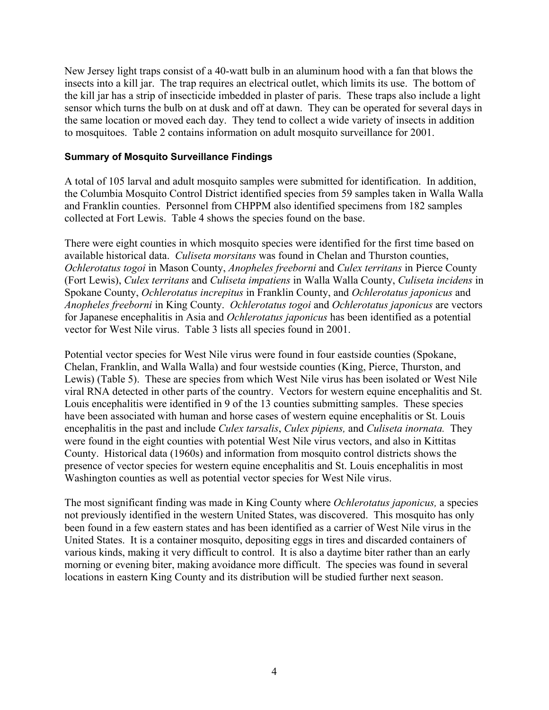New Jersey light traps consist of a 40-watt bulb in an aluminum hood with a fan that blows the insects into a kill jar. The trap requires an electrical outlet, which limits its use. The bottom of the kill jar has a strip of insecticide imbedded in plaster of paris. These traps also include a light sensor which turns the bulb on at dusk and off at dawn. They can be operated for several days in the same location or moved each day. They tend to collect a wide variety of insects in addition to mosquitoes. Table 2 contains information on adult mosquito surveillance for 2001.

#### **Summary of Mosquito Surveillance Findings**

A total of 105 larval and adult mosquito samples were submitted for identification. In addition, the Columbia Mosquito Control District identified species from 59 samples taken in Walla Walla and Franklin counties. Personnel from CHPPM also identified specimens from 182 samples collected at Fort Lewis. Table 4 shows the species found on the base.

There were eight counties in which mosquito species were identified for the first time based on available historical data. *Culiseta morsitans* was found in Chelan and Thurston counties, *Ochlerotatus togoi* in Mason County, *Anopheles freeborni* and *Culex territans* in Pierce County (Fort Lewis), *Culex territans* and *Culiseta impatiens* in Walla Walla County, *Culiseta incidens* in Spokane County, *Ochlerotatus increpitus* in Franklin County, and *Ochlerotatus japonicus* and *Anopheles freeborni* in King County. *Ochlerotatus togoi* and *Ochlerotatus japonicus* are vectors for Japanese encephalitis in Asia and *Ochlerotatus japonicus* has been identified as a potential vector for West Nile virus. Table 3 lists all species found in 2001.

Potential vector species for West Nile virus were found in four eastside counties (Spokane, Chelan, Franklin, and Walla Walla) and four westside counties (King, Pierce, Thurston, and Lewis) (Table 5). These are species from which West Nile virus has been isolated or West Nile viral RNA detected in other parts of the country. Vectors for western equine encephalitis and St. Louis encephalitis were identified in 9 of the 13 counties submitting samples. These species have been associated with human and horse cases of western equine encephalitis or St. Louis encephalitis in the past and include *Culex tarsalis*, *Culex pipiens,* and *Culiseta inornata.* They were found in the eight counties with potential West Nile virus vectors, and also in Kittitas County. Historical data (1960s) and information from mosquito control districts shows the presence of vector species for western equine encephalitis and St. Louis encephalitis in most Washington counties as well as potential vector species for West Nile virus.

The most significant finding was made in King County where *Ochlerotatus japonicus,* a species not previously identified in the western United States, was discovered. This mosquito has only been found in a few eastern states and has been identified as a carrier of West Nile virus in the United States. It is a container mosquito, depositing eggs in tires and discarded containers of various kinds, making it very difficult to control. It is also a daytime biter rather than an early morning or evening biter, making avoidance more difficult. The species was found in several locations in eastern King County and its distribution will be studied further next season.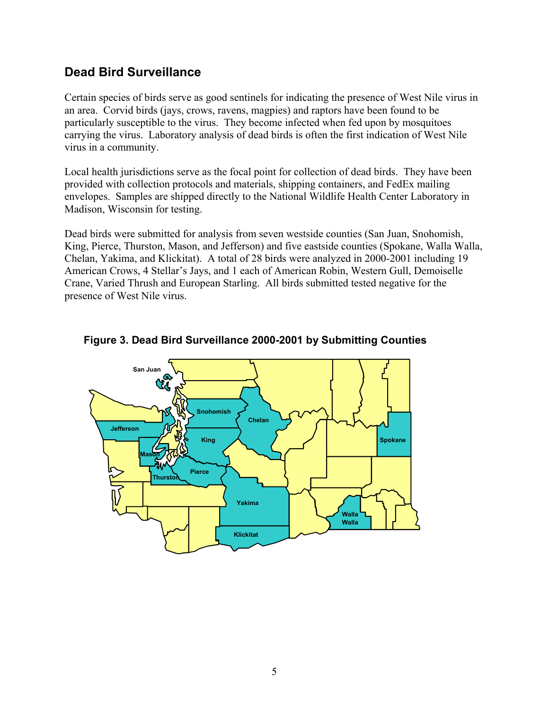### **Dead Bird Surveillance**

Certain species of birds serve as good sentinels for indicating the presence of West Nile virus in an area. Corvid birds (jays, crows, ravens, magpies) and raptors have been found to be particularly susceptible to the virus. They become infected when fed upon by mosquitoes carrying the virus. Laboratory analysis of dead birds is often the first indication of West Nile virus in a community.

Local health jurisdictions serve as the focal point for collection of dead birds. They have been provided with collection protocols and materials, shipping containers, and FedEx mailing envelopes. Samples are shipped directly to the National Wildlife Health Center Laboratory in Madison, Wisconsin for testing.

Dead birds were submitted for analysis from seven westside counties (San Juan, Snohomish, King, Pierce, Thurston, Mason, and Jefferson) and five eastside counties (Spokane, Walla Walla, Chelan, Yakima, and Klickitat). A total of 28 birds were analyzed in 2000-2001 including 19 American Crows, 4 Stellar's Jays, and 1 each of American Robin, Western Gull, Demoiselle Crane, Varied Thrush and European Starling. All birds submitted tested negative for the presence of West Nile virus.



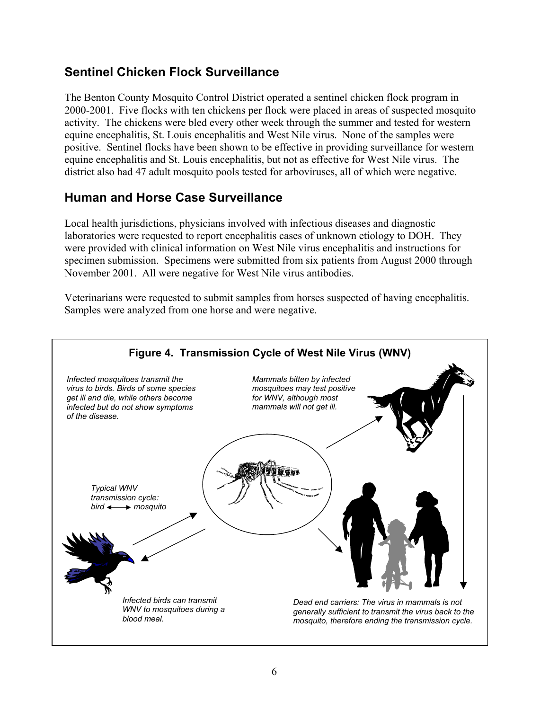### **Sentinel Chicken Flock Surveillance**

The Benton County Mosquito Control District operated a sentinel chicken flock program in 2000-2001. Five flocks with ten chickens per flock were placed in areas of suspected mosquito activity. The chickens were bled every other week through the summer and tested for western equine encephalitis, St. Louis encephalitis and West Nile virus. None of the samples were positive. Sentinel flocks have been shown to be effective in providing surveillance for western equine encephalitis and St. Louis encephalitis, but not as effective for West Nile virus. The district also had 47 adult mosquito pools tested for arboviruses, all of which were negative.

### **Human and Horse Case Surveillance**

Local health jurisdictions, physicians involved with infectious diseases and diagnostic laboratories were requested to report encephalitis cases of unknown etiology to DOH. They were provided with clinical information on West Nile virus encephalitis and instructions for specimen submission. Specimens were submitted from six patients from August 2000 through November 2001. All were negative for West Nile virus antibodies.

Veterinarians were requested to submit samples from horses suspected of having encephalitis. Samples were analyzed from one horse and were negative.

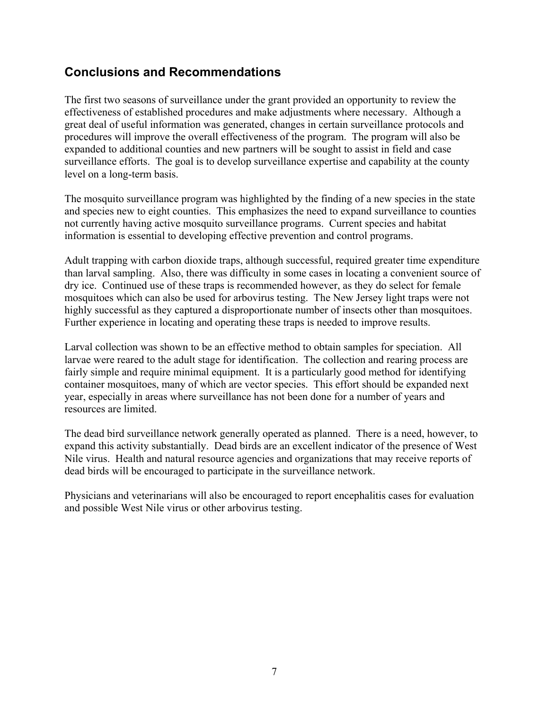### **Conclusions and Recommendations**

The first two seasons of surveillance under the grant provided an opportunity to review the effectiveness of established procedures and make adjustments where necessary. Although a great deal of useful information was generated, changes in certain surveillance protocols and procedures will improve the overall effectiveness of the program. The program will also be expanded to additional counties and new partners will be sought to assist in field and case surveillance efforts. The goal is to develop surveillance expertise and capability at the county level on a long-term basis.

The mosquito surveillance program was highlighted by the finding of a new species in the state and species new to eight counties. This emphasizes the need to expand surveillance to counties not currently having active mosquito surveillance programs. Current species and habitat information is essential to developing effective prevention and control programs.

Adult trapping with carbon dioxide traps, although successful, required greater time expenditure than larval sampling. Also, there was difficulty in some cases in locating a convenient source of dry ice. Continued use of these traps is recommended however, as they do select for female mosquitoes which can also be used for arbovirus testing. The New Jersey light traps were not highly successful as they captured a disproportionate number of insects other than mosquitoes. Further experience in locating and operating these traps is needed to improve results.

Larval collection was shown to be an effective method to obtain samples for speciation. All larvae were reared to the adult stage for identification. The collection and rearing process are fairly simple and require minimal equipment. It is a particularly good method for identifying container mosquitoes, many of which are vector species. This effort should be expanded next year, especially in areas where surveillance has not been done for a number of years and resources are limited.

The dead bird surveillance network generally operated as planned. There is a need, however, to expand this activity substantially. Dead birds are an excellent indicator of the presence of West Nile virus. Health and natural resource agencies and organizations that may receive reports of dead birds will be encouraged to participate in the surveillance network.

Physicians and veterinarians will also be encouraged to report encephalitis cases for evaluation and possible West Nile virus or other arbovirus testing.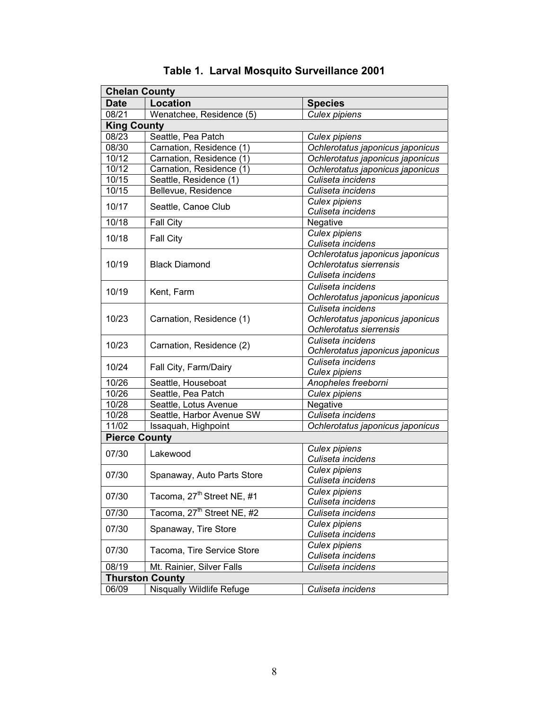| <b>Chelan County</b> |                                        |                                                                                  |  |
|----------------------|----------------------------------------|----------------------------------------------------------------------------------|--|
| <b>Date</b>          | <b>Location</b>                        | <b>Species</b>                                                                   |  |
| 08/21                | Wenatchee, Residence (5)               | Culex pipiens                                                                    |  |
| <b>King County</b>   |                                        |                                                                                  |  |
| 08/23                | Seattle, Pea Patch                     | Culex pipiens                                                                    |  |
| 08/30                | Carnation, Residence (1)               | Ochlerotatus japonicus japonicus                                                 |  |
| 10/12                | Carnation, Residence (1)               | Ochlerotatus japonicus japonicus                                                 |  |
| 10/12                | Carnation, Residence (1)               | Ochlerotatus japonicus japonicus                                                 |  |
| 10/15                | Seattle, Residence (1)                 | Culiseta incidens                                                                |  |
| 10/15                | Bellevue, Residence                    | Culiseta incidens                                                                |  |
| 10/17                | Seattle, Canoe Club                    | <b>Culex pipiens</b><br>Culiseta incidens                                        |  |
| 10/18                | Fall City                              | Negative                                                                         |  |
| 10/18                | Fall City                              | Culex pipiens<br>Culiseta incidens                                               |  |
| 10/19                | <b>Black Diamond</b>                   | Ochlerotatus japonicus japonicus<br>Ochlerotatus sierrensis<br>Culiseta incidens |  |
| 10/19                | Kent, Farm                             | Culiseta incidens<br>Ochlerotatus japonicus japonicus                            |  |
| 10/23                | Carnation, Residence (1)               | Culiseta incidens<br>Ochlerotatus japonicus japonicus<br>Ochlerotatus sierrensis |  |
| 10/23                | Carnation, Residence (2)               | Culiseta incidens<br>Ochlerotatus japonicus japonicus                            |  |
| 10/24                | Fall City, Farm/Dairy                  | Culiseta incidens<br>Culex pipiens                                               |  |
| 10/26                | Seattle, Houseboat                     | Anopheles freeborni                                                              |  |
| 10/26                | Seattle, Pea Patch                     | <b>Culex pipiens</b>                                                             |  |
| 10/28                | Seattle, Lotus Avenue                  | Negative                                                                         |  |
| 10/28                | Seattle, Harbor Avenue SW              | Culiseta incidens                                                                |  |
| 11/02                | Issaquah, Highpoint                    | Ochlerotatus japonicus japonicus                                                 |  |
| <b>Pierce County</b> |                                        |                                                                                  |  |
| 07/30                | Lakewood                               | <b>Culex pipiens</b><br>Culiseta incidens                                        |  |
| 07/30                | Spanaway, Auto Parts Store             | Culex pipiens<br>Culiseta incidens                                               |  |
| 07/30                | Tacoma, 27 <sup>th</sup> Street NE, #1 | Culex pipiens<br>Culiseta incidens                                               |  |
| 07/30                | Tacoma, 27 <sup>th</sup> Street NE, #2 | Culiseta incidens                                                                |  |
| 07/30                | Spanaway, Tire Store                   | Culex pipiens<br>Culiseta incidens                                               |  |
| 07/30                | Tacoma, Tire Service Store             | Culex pipiens<br>Culiseta incidens                                               |  |
| 08/19                | Mt. Rainier, Silver Falls              | Culiseta incidens                                                                |  |
|                      | <b>Thurston County</b>                 |                                                                                  |  |
| 06/09                | <b>Nisqually Wildlife Refuge</b>       | Culiseta incidens                                                                |  |

**Table 1. Larval Mosquito Surveillance 2001**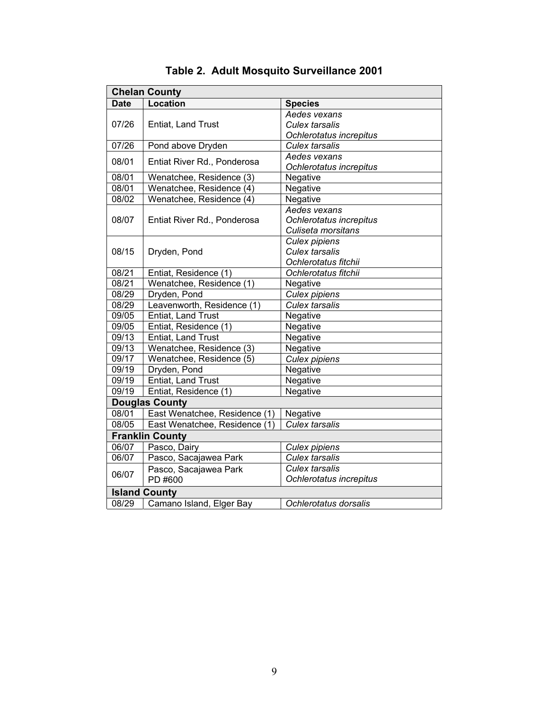| <b>Chelan County</b>   |                               |                         |
|------------------------|-------------------------------|-------------------------|
| <b>Date</b>            | Location                      | <b>Species</b>          |
|                        |                               | Aedes vexans            |
| 07/26                  | Entiat, Land Trust            | <b>Culex tarsalis</b>   |
|                        |                               | Ochlerotatus increpitus |
| 07/26                  | Pond above Dryden             | <b>Culex tarsalis</b>   |
| 08/01                  | Entiat River Rd., Ponderosa   | Aedes vexans            |
|                        |                               | Ochlerotatus increpitus |
| 08/01                  | Wenatchee, Residence (3)      | Negative                |
| 08/01                  | Wenatchee, Residence (4)      | Negative                |
| 08/02                  | Wenatchee, Residence (4)      | Negative                |
|                        |                               | Aedes vexans            |
| 08/07                  | Entiat River Rd., Ponderosa   | Ochlerotatus increpitus |
|                        |                               | Culiseta morsitans      |
|                        |                               | Culex pipiens           |
| 08/15                  | Dryden, Pond                  | <b>Culex tarsalis</b>   |
|                        |                               | Ochlerotatus fitchii    |
| 08/21                  | Entiat, Residence (1)         | Ochlerotatus fitchii    |
| $\overline{08/21}$     | Wenatchee, Residence (1)      | Negative                |
| 08/29                  | Dryden, Pond                  | Culex pipiens           |
| 08/29                  | Leavenworth, Residence (1)    | <b>Culex tarsalis</b>   |
| 09/05                  | Entiat, Land Trust            | Negative                |
| 09/05                  | Entiat, Residence (1)         | Negative                |
| 09/13                  | Entiat, Land Trust            | Negative                |
| 09/13                  | Wenatchee, Residence (3)      | Negative                |
| 09/17                  | Wenatchee, Residence (5)      | Culex pipiens           |
| $\frac{0}{9}$ /19      | Dryden, Pond                  | Negative                |
| 09/19                  | Entiat, Land Trust            | Negative                |
| 09/19                  | Entiat, Residence (1)         | Negative                |
| <b>Douglas County</b>  |                               |                         |
| 08/01                  | East Wenatchee, Residence (1) | Negative                |
| 08/05                  | East Wenatchee, Residence (1) | <b>Culex tarsalis</b>   |
| <b>Franklin County</b> |                               |                         |
| 06/07                  | Pasco, Dairy                  | Culex pipiens           |
| 06/07                  | Pasco, Sacajawea Park         | Culex tarsalis          |
| 06/07                  | Pasco, Sacajawea Park         | <b>Culex tarsalis</b>   |
|                        | PD #600                       | Ochlerotatus increpitus |
| <b>Island County</b>   |                               |                         |
| 08/29                  | Camano Island, Elger Bay      | Ochlerotatus dorsalis   |

# **Table 2. Adult Mosquito Surveillance 2001**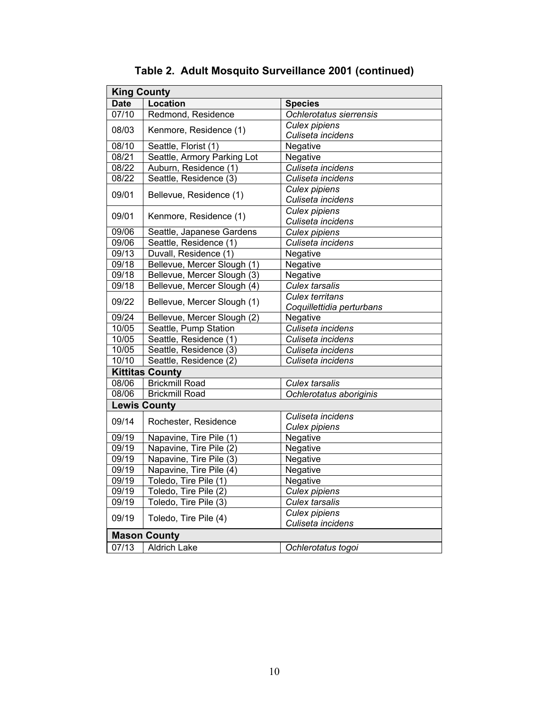| Location<br><b>Date</b><br><b>Species</b><br>07/10<br>Redmond, Residence<br>Ochlerotatus sierrensis<br><b>Culex pipiens</b><br>08/03<br>Kenmore, Residence (1)<br>Culiseta incidens<br>Negative<br>08/10<br>Seattle, Florist (1)<br>08/21<br>Seattle, Armory Parking Lot<br>Negative<br>Auburn, Residence (1)<br>Culiseta incidens<br>08/22<br>Seattle, Residence (3)<br>08/22<br>Culiseta incidens<br><b>Culex pipiens</b> |  |  |
|-----------------------------------------------------------------------------------------------------------------------------------------------------------------------------------------------------------------------------------------------------------------------------------------------------------------------------------------------------------------------------------------------------------------------------|--|--|
|                                                                                                                                                                                                                                                                                                                                                                                                                             |  |  |
|                                                                                                                                                                                                                                                                                                                                                                                                                             |  |  |
|                                                                                                                                                                                                                                                                                                                                                                                                                             |  |  |
|                                                                                                                                                                                                                                                                                                                                                                                                                             |  |  |
|                                                                                                                                                                                                                                                                                                                                                                                                                             |  |  |
|                                                                                                                                                                                                                                                                                                                                                                                                                             |  |  |
|                                                                                                                                                                                                                                                                                                                                                                                                                             |  |  |
|                                                                                                                                                                                                                                                                                                                                                                                                                             |  |  |
|                                                                                                                                                                                                                                                                                                                                                                                                                             |  |  |
| 09/01<br>Bellevue, Residence (1)<br>Culiseta incidens                                                                                                                                                                                                                                                                                                                                                                       |  |  |
| <b>Culex pipiens</b><br>09/01<br>Kenmore, Residence (1)                                                                                                                                                                                                                                                                                                                                                                     |  |  |
| Culiseta incidens                                                                                                                                                                                                                                                                                                                                                                                                           |  |  |
| 09/06<br>Seattle, Japanese Gardens<br>Culex pipiens                                                                                                                                                                                                                                                                                                                                                                         |  |  |
| Seattle, Residence (1)<br>Culiseta incidens<br>09/06                                                                                                                                                                                                                                                                                                                                                                        |  |  |
| 09/13<br>Duvall, Residence (1)<br>Negative                                                                                                                                                                                                                                                                                                                                                                                  |  |  |
| 09/18<br>Bellevue, Mercer Slough (1)<br>Negative                                                                                                                                                                                                                                                                                                                                                                            |  |  |
| 09/18<br>Bellevue, Mercer Slough (3)<br>Negative                                                                                                                                                                                                                                                                                                                                                                            |  |  |
| 09/18<br>Bellevue, Mercer Slough (4)<br><b>Culex tarsalis</b>                                                                                                                                                                                                                                                                                                                                                               |  |  |
| <b>Culex territans</b><br>09/22<br>Bellevue, Mercer Slough (1)                                                                                                                                                                                                                                                                                                                                                              |  |  |
| Coquillettidia perturbans                                                                                                                                                                                                                                                                                                                                                                                                   |  |  |
| 09/24<br>Bellevue, Mercer Slough (2)<br>Negative                                                                                                                                                                                                                                                                                                                                                                            |  |  |
| 10/05<br>Culiseta incidens<br>Seattle, Pump Station                                                                                                                                                                                                                                                                                                                                                                         |  |  |
| 10/05<br>Seattle, Residence (1)<br>Culiseta incidens                                                                                                                                                                                                                                                                                                                                                                        |  |  |
| 10/05<br>Seattle, Residence (3)<br>Culiseta incidens                                                                                                                                                                                                                                                                                                                                                                        |  |  |
| 10/10<br>Seattle, Residence (2)<br>Culiseta incidens                                                                                                                                                                                                                                                                                                                                                                        |  |  |
| <b>Kittitas County</b>                                                                                                                                                                                                                                                                                                                                                                                                      |  |  |
| 08/06<br><b>Brickmill Road</b><br>Culex tarsalis                                                                                                                                                                                                                                                                                                                                                                            |  |  |
| <b>Brickmill Road</b><br>08/06<br>Ochlerotatus aboriginis                                                                                                                                                                                                                                                                                                                                                                   |  |  |
| <b>Lewis County</b>                                                                                                                                                                                                                                                                                                                                                                                                         |  |  |
| Culiseta incidens<br>09/14                                                                                                                                                                                                                                                                                                                                                                                                  |  |  |
| Rochester, Residence<br><b>Culex pipiens</b>                                                                                                                                                                                                                                                                                                                                                                                |  |  |
| 09/19<br>Napavine, Tire Pile (1)<br>Negative                                                                                                                                                                                                                                                                                                                                                                                |  |  |
| Napavine, Tire Pile (2)<br>Negative<br>09/19                                                                                                                                                                                                                                                                                                                                                                                |  |  |
| 09/19<br>Napavine, Tire Pile (3)<br>Negative                                                                                                                                                                                                                                                                                                                                                                                |  |  |
| Napavine, Tire Pile (4)<br>09/19<br>Negative                                                                                                                                                                                                                                                                                                                                                                                |  |  |
| 09/19<br>Toledo, Tire Pile (1)<br>Negative                                                                                                                                                                                                                                                                                                                                                                                  |  |  |
| 09/19<br>Toledo, Tire Pile (2)<br>Culex pipiens                                                                                                                                                                                                                                                                                                                                                                             |  |  |
| 09/19<br>Toledo, Tire Pile (3)<br><b>Culex tarsalis</b>                                                                                                                                                                                                                                                                                                                                                                     |  |  |
| <b>Culex pipiens</b><br>09/19<br>Toledo, Tire Pile (4)                                                                                                                                                                                                                                                                                                                                                                      |  |  |
| Culiseta incidens                                                                                                                                                                                                                                                                                                                                                                                                           |  |  |
| <b>Mason County</b>                                                                                                                                                                                                                                                                                                                                                                                                         |  |  |
| 07/13<br><b>Aldrich Lake</b><br>Ochlerotatus togoi                                                                                                                                                                                                                                                                                                                                                                          |  |  |

**Table 2. Adult Mosquito Surveillance 2001 (continued)**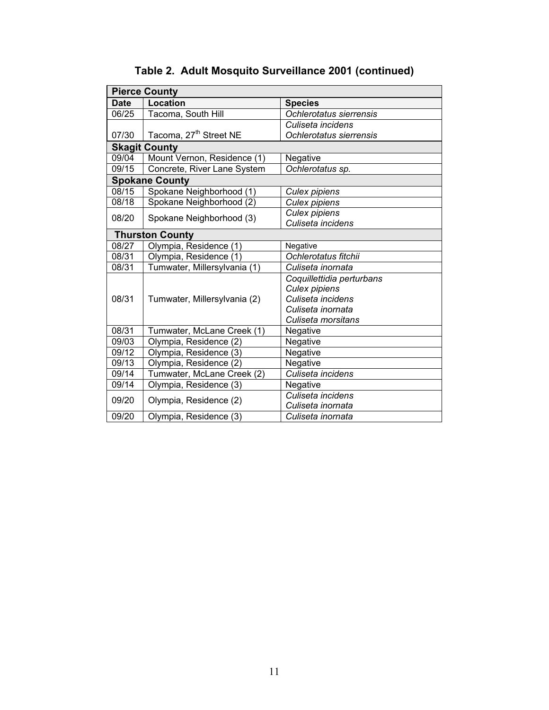| <b>Pierce County</b> |                                    |                           |
|----------------------|------------------------------------|---------------------------|
| <b>Date</b>          | Location                           | <b>Species</b>            |
| 06/25                | Tacoma, South Hill                 | Ochlerotatus sierrensis   |
|                      |                                    | Culiseta incidens         |
| 07/30                | Tacoma, 27 <sup>th</sup> Street NE | Ochlerotatus sierrensis   |
|                      | <b>Skagit County</b>               |                           |
| 09/04                | Mount Vernon, Residence (1)        | Negative                  |
| 09/15                | Concrete, River Lane System        | Ochlerotatus sp.          |
|                      | <b>Spokane County</b>              |                           |
| 08/15                | Spokane Neighborhood (1)           | Culex pipiens             |
| 08/18                | Spokane Neighborhood (2)           | <b>Culex pipiens</b>      |
| 08/20                | Spokane Neighborhood (3)           | Culex pipiens             |
|                      |                                    | Culiseta incidens         |
|                      | <b>Thurston County</b>             |                           |
| 08/27                | Olympia, Residence (1)             | Negative                  |
| 08/31                | Olympia, Residence (1)             | Ochlerotatus fitchii      |
| 08/31                | Tumwater, Millersylvania (1)       | Culiseta inornata         |
|                      |                                    | Coquillettidia perturbans |
|                      |                                    | <b>Culex pipiens</b>      |
| 08/31                | Tumwater, Millersylvania (2)       | Culiseta incidens         |
|                      |                                    | Culiseta inornata         |
|                      |                                    | Culiseta morsitans        |
| 08/31                | Tumwater, McLane Creek (1)         | Negative                  |
| 09/03                | Olympia, Residence (2)             | Negative                  |
| 09/12                | Olympia, Residence (3)             | Negative                  |
| 09/13                | Olympia, Residence (2)             | Negative                  |
| 09/14                | Tumwater, McLane Creek (2)         | Culiseta incidens         |
| 09/14                | Olympia, Residence (3)             | Negative                  |
| 09/20                | Olympia, Residence (2)             | Culiseta incidens         |
|                      |                                    | Culiseta inornata         |
| 09/20                | Olympia, Residence (3)             | Culiseta inornata         |

# **Table 2. Adult Mosquito Surveillance 2001 (continued)**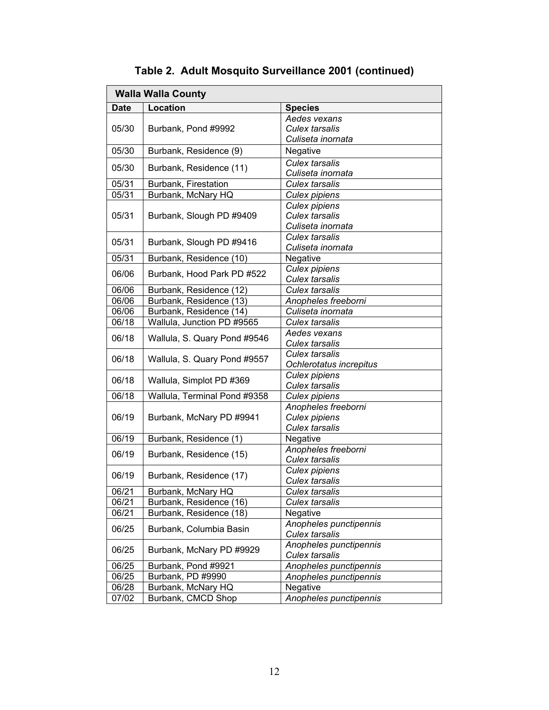| <b>Walla Walla County</b> |                              |                                                             |
|---------------------------|------------------------------|-------------------------------------------------------------|
| <b>Date</b>               | Location                     | <b>Species</b>                                              |
| 05/30                     | Burbank, Pond #9992          | Aedes vexans<br><b>Culex tarsalis</b>                       |
|                           |                              | Culiseta inornata                                           |
| 05/30                     | Burbank, Residence (9)       | Negative                                                    |
| 05/30                     | Burbank, Residence (11)      | Culex tarsalis                                              |
|                           |                              | Culiseta inornata                                           |
| 05/31                     | Burbank, Firestation         | Culex tarsalis                                              |
| 05/31                     | Burbank, McNary HQ           | Culex pipiens                                               |
| 05/31                     | Burbank, Slough PD #9409     | Culex pipiens<br><b>Culex tarsalis</b><br>Culiseta inornata |
| 05/31                     | Burbank, Slough PD #9416     | <b>Culex tarsalis</b><br>Culiseta inornata                  |
| 05/31                     | Burbank, Residence (10)      | Negative                                                    |
| 06/06                     | Burbank, Hood Park PD #522   | Culex pipiens                                               |
|                           |                              | Culex tarsalis                                              |
| 06/06                     | Burbank, Residence (12)      | <b>Culex tarsalis</b>                                       |
| 06/06                     | Burbank, Residence (13)      | Anopheles freeborni                                         |
| 06/06                     | Burbank, Residence (14)      | Culiseta inornata                                           |
| 06/18                     | Wallula, Junction PD #9565   | <b>Culex tarsalis</b>                                       |
| 06/18                     | Wallula, S. Quary Pond #9546 | Aedes vexans<br>Culex tarsalis                              |
| 06/18                     | Wallula, S. Quary Pond #9557 | <b>Culex tarsalis</b><br>Ochlerotatus increpitus            |
| 06/18                     | Wallula, Simplot PD #369     | Culex pipiens<br>Culex tarsalis                             |
| 06/18                     | Wallula, Terminal Pond #9358 | Culex pipiens                                               |
|                           | Burbank, McNary PD #9941     | Anopheles freeborni                                         |
| 06/19                     |                              | Culex pipiens                                               |
|                           |                              | <b>Culex tarsalis</b>                                       |
| 06/19                     | Burbank, Residence (1)       | Negative                                                    |
| 06/19                     | Burbank, Residence (15)      | Anopheles freeborni<br><b>Culex tarsalis</b>                |
|                           |                              | Culex pipiens                                               |
| 06/19                     | Burbank, Residence (17)      | <b>Culex tarsalis</b>                                       |
| 06/21                     | Burbank, McNary HQ           | Culex tarsalis                                              |
| 06/21                     | Burbank, Residence (16)      | Culex tarsalis                                              |
| 06/21                     | Burbank, Residence (18)      | Negative                                                    |
| 06/25                     | Burbank, Columbia Basin      | Anopheles punctipennis<br>Culex tarsalis                    |
| 06/25                     | Burbank, McNary PD #9929     | Anopheles punctipennis<br>Culex tarsalis                    |
| 06/25                     | Burbank, Pond #9921          | Anopheles punctipennis                                      |
| 06/25                     | Burbank, PD #9990            | Anopheles punctipennis                                      |
| 06/28                     | Burbank, McNary HQ           | Negative                                                    |
| 07/02                     | Burbank, CMCD Shop           | Anopheles punctipennis                                      |

**Table 2. Adult Mosquito Surveillance 2001 (continued)**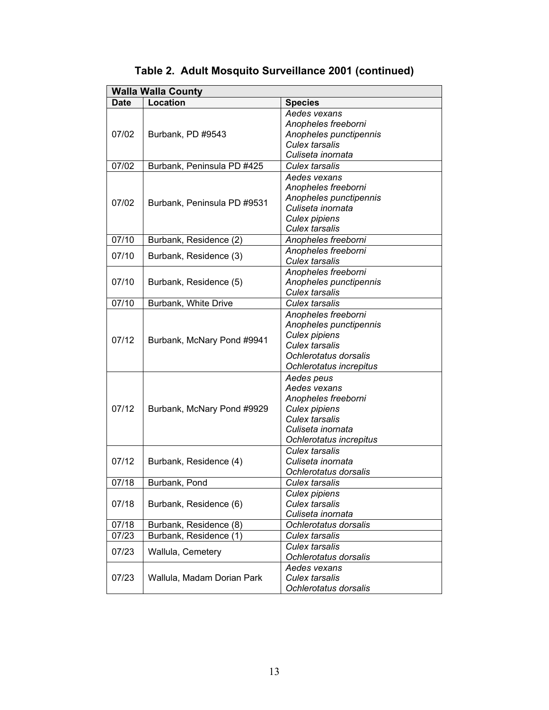| <b>Walla Walla County</b> |                             |                         |
|---------------------------|-----------------------------|-------------------------|
| <b>Date</b>               | Location                    | <b>Species</b>          |
|                           |                             | Aedes vexans            |
|                           |                             | Anopheles freeborni     |
| 07/02                     | Burbank, PD #9543           | Anopheles punctipennis  |
|                           |                             | <b>Culex tarsalis</b>   |
|                           |                             | Culiseta inornata       |
| 07/02                     | Burbank, Peninsula PD #425  | <b>Culex tarsalis</b>   |
|                           |                             | Aedes vexans            |
|                           |                             | Anopheles freeborni     |
|                           |                             | Anopheles punctipennis  |
| 07/02                     | Burbank, Peninsula PD #9531 | Culiseta inornata       |
|                           |                             | Culex pipiens           |
|                           |                             | <b>Culex tarsalis</b>   |
| 07/10                     | Burbank, Residence (2)      | Anopheles freeborni     |
| 07/10                     |                             | Anopheles freeborni     |
|                           | Burbank, Residence (3)      | <b>Culex tarsalis</b>   |
|                           |                             | Anopheles freeborni     |
| 07/10                     | Burbank, Residence (5)      | Anopheles punctipennis  |
|                           |                             | <b>Culex tarsalis</b>   |
| 07/10                     | Burbank, White Drive        | Culex tarsalis          |
|                           |                             | Anopheles freeborni     |
|                           |                             | Anopheles punctipennis  |
| 07/12                     |                             | Culex pipiens           |
|                           | Burbank, McNary Pond #9941  | <b>Culex tarsalis</b>   |
|                           |                             | Ochlerotatus dorsalis   |
|                           |                             | Ochlerotatus increpitus |
|                           |                             | Aedes peus              |
|                           |                             | Aedes vexans            |
|                           |                             | Anopheles freeborni     |
| 07/12                     | Burbank, McNary Pond #9929  | <b>Culex pipiens</b>    |
|                           |                             | <b>Culex tarsalis</b>   |
|                           |                             | Culiseta inornata       |
|                           |                             | Ochlerotatus increpitus |
|                           |                             | <b>Culex tarsalis</b>   |
| 07/12                     | Burbank, Residence (4)      | Culiseta inornata       |
|                           |                             | Ochlerotatus dorsalis   |
| 07/18                     | Burbank, Pond               | <b>Culex tarsalis</b>   |
|                           |                             | <b>Culex pipiens</b>    |
| 07/18                     | Burbank, Residence (6)      | <b>Culex tarsalis</b>   |
|                           |                             | Culiseta inornata       |
| 07/18                     | Burbank, Residence (8)      | Ochlerotatus dorsalis   |
| 07/23                     | Burbank, Residence (1)      | <b>Culex tarsalis</b>   |
|                           |                             | <b>Culex tarsalis</b>   |
| 07/23                     | Wallula, Cemetery           | Ochlerotatus dorsalis   |
|                           |                             | Aedes vexans            |
| 07/23                     | Wallula, Madam Dorian Park  | <b>Culex tarsalis</b>   |
|                           |                             | Ochlerotatus dorsalis   |

**Table 2. Adult Mosquito Surveillance 2001 (continued)**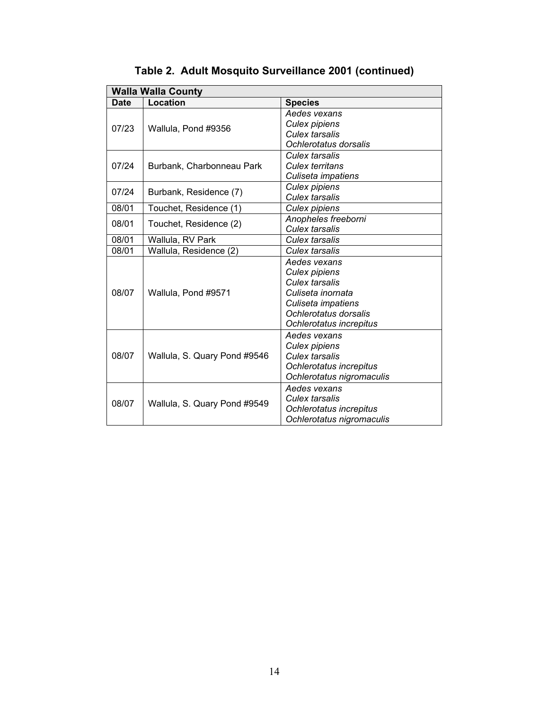| <b>Walla Walla County</b> |                              |                           |
|---------------------------|------------------------------|---------------------------|
| <b>Date</b>               | Location                     | <b>Species</b>            |
| 07/23                     |                              | Aedes vexans              |
|                           | Wallula, Pond #9356          | Culex pipiens             |
|                           |                              | Culex tarsalis            |
|                           |                              | Ochlerotatus dorsalis     |
|                           |                              | Culex tarsalis            |
| 07/24                     | Burbank, Charbonneau Park    | Culex territans           |
|                           |                              | Culiseta impatiens        |
| 07/24                     | Burbank, Residence (7)       | <b>Culex pipiens</b>      |
|                           |                              | <b>Culex tarsalis</b>     |
| 08/01                     | Touchet, Residence (1)       | Culex pipiens             |
| 08/01                     | Touchet, Residence (2)       | Anopheles freeborni       |
|                           |                              | Culex tarsalis            |
| 08/01                     | Wallula, RV Park             | <b>Culex tarsalis</b>     |
| 08/01                     | Wallula, Residence (2)       | Culex tarsalis            |
|                           |                              | Aedes vexans              |
|                           |                              | Culex pipiens             |
|                           |                              | Culex tarsalis            |
| 08/07                     | Wallula, Pond #9571          | Culiseta inornata         |
|                           |                              | Culiseta impatiens        |
|                           |                              | Ochlerotatus dorsalis     |
|                           |                              | Ochlerotatus increpitus   |
|                           | Wallula, S. Quary Pond #9546 | Aedes vexans              |
|                           |                              | Culex pipiens             |
| 08/07                     |                              | Culex tarsalis            |
|                           |                              | Ochlerotatus increpitus   |
|                           |                              | Ochlerotatus nigromaculis |
| 08/07                     | Wallula, S. Quary Pond #9549 | Aedes vexans              |
|                           |                              | <b>Culex tarsalis</b>     |
|                           |                              | Ochlerotatus increpitus   |
|                           |                              | Ochlerotatus nigromaculis |

**Table 2. Adult Mosquito Surveillance 2001 (continued)**